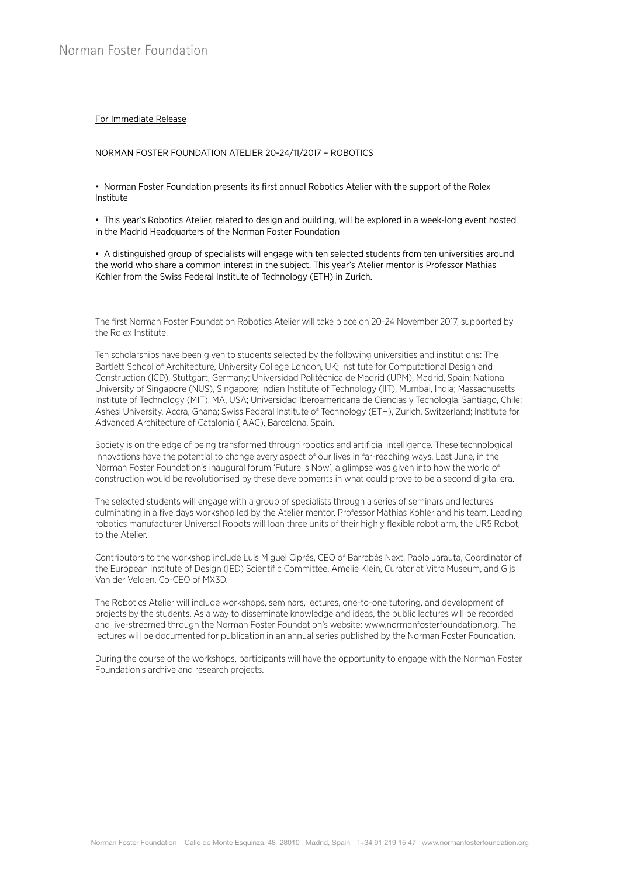## For Immediate Release

## NORMAN FOSTER FOUNDATION ATELIER 20-24/11/2017 – ROBOTICS

• Norman Foster Foundation presents its first annual Robotics Atelier with the support of the Rolex Institute

• This year's Robotics Atelier, related to design and building, will be explored in a week-long event hosted in the Madrid Headquarters of the Norman Foster Foundation

• A distinguished group of specialists will engage with ten selected students from ten universities around the world who share a common interest in the subject. This year's Atelier mentor is Professor Mathias Kohler from the Swiss Federal Institute of Technology (ETH) in Zurich.

The first Norman Foster Foundation Robotics Atelier will take place on 20-24 November 2017, supported by the Rolex Institute.

Ten scholarships have been given to students selected by the following universities and institutions: The Bartlett School of Architecture, University College London, UK; Institute for Computational Design and Construction (ICD), Stuttgart, Germany; Universidad Politécnica de Madrid (UPM), Madrid, Spain; National University of Singapore (NUS), Singapore; Indian Institute of Technology (IIT), Mumbai, India; Massachusetts Institute of Technology (MIT), MA, USA; Universidad Iberoamericana de Ciencias y Tecnología, Santiago, Chile; Ashesi University, Accra, Ghana; Swiss Federal Institute of Technology (ETH), Zurich, Switzerland; Institute for Advanced Architecture of Catalonia (IAAC), Barcelona, Spain.

Society is on the edge of being transformed through robotics and artificial intelligence. These technological innovations have the potential to change every aspect of our lives in far-reaching ways. Last June, in the Norman Foster Foundation's inaugural forum 'Future is Now', a glimpse was given into how the world of construction would be revolutionised by these developments in what could prove to be a second digital era.

The selected students will engage with a group of specialists through a series of seminars and lectures culminating in a five days workshop led by the Atelier mentor, Professor Mathias Kohler and his team. Leading robotics manufacturer Universal Robots will loan three units of their highly flexible robot arm, the UR5 Robot, to the Atelier.

Contributors to the workshop include Luis Miguel Ciprés, CEO of Barrabés Next, Pablo Jarauta, Coordinator of the European Institute of Design (IED) Scientific Committee, Amelie Klein, Curator at Vitra Museum, and Gijs Van der Velden, Co-CEO of MX3D.

The Robotics Atelier will include workshops, seminars, lectures, one-to-one tutoring, and development of projects by the students. As a way to disseminate knowledge and ideas, the public lectures will be recorded and live-streamed through the Norman Foster Foundation's website: www.normanfosterfoundation.org. The lectures will be documented for publication in an annual series published by the Norman Foster Foundation.

During the course of the workshops, participants will have the opportunity to engage with the Norman Foster Foundation's archive and research projects.